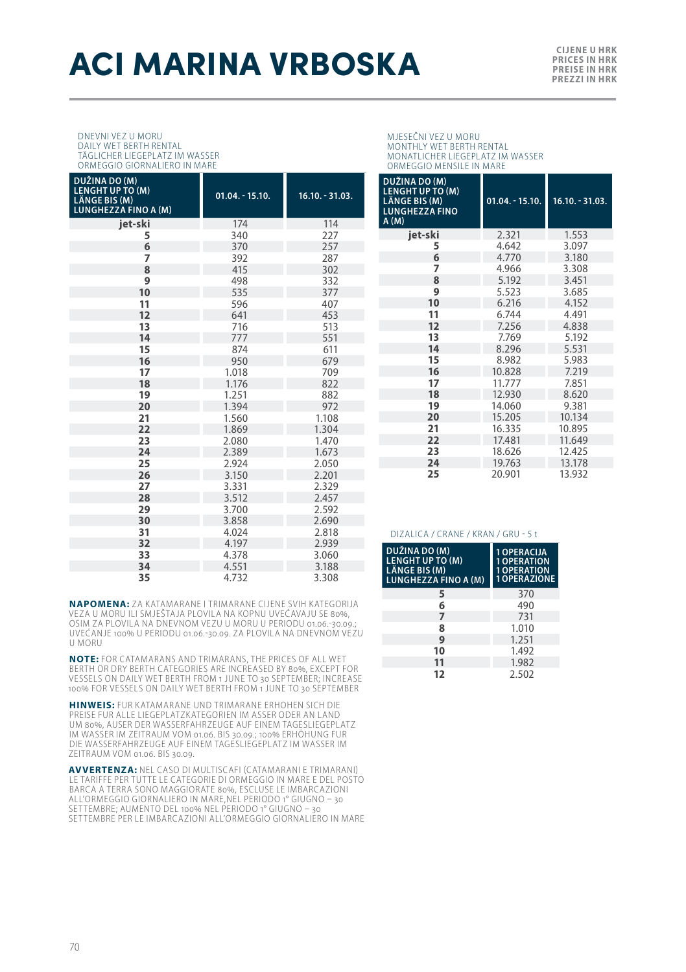# **ACI MARINA VRBOSKA**

#### DNEVNI VEZ U MORU DAILY WET BERTH RENTAL TÄGLICHER LIEGEPLATZ IM WASSER

|  | ORMEGGIO GIORNALIERO IN MARE |  |
|--|------------------------------|--|
|  |                              |  |

| DUŽINA DO (M)<br><b>LENGHT UP TO (M)</b><br>LÄNGE BIS (M)<br><b>LUNGHEZZA FINO A (M)</b> | $01.04. - 15.10.$ | $16.10. - 31.03.$ |
|------------------------------------------------------------------------------------------|-------------------|-------------------|
| iet-ski                                                                                  | 174               | 114               |
| 5                                                                                        | 340               | 227               |
| 6                                                                                        | 370               | 257               |
| 7                                                                                        | 392               | 287               |
| 8                                                                                        | 415               | 302               |
| 9                                                                                        | 498               | 332               |
| 10                                                                                       | 535               | 377               |
| 11                                                                                       | 596               | 407               |
| 12                                                                                       | 641               | 453               |
| 13                                                                                       | 716               | 513               |
| 14                                                                                       | 777               | 551               |
| 15                                                                                       | 874               | 611               |
| 16                                                                                       | 950               | 679               |
| 17                                                                                       | 1.018             | 709               |
| 18                                                                                       | 1.176             | 822               |
| 19                                                                                       | 1.251             | 882               |
| 20                                                                                       | 1.394             | 972               |
| 21                                                                                       | 1.560             | 1.108             |
| 22                                                                                       | 1.869             | 1.304             |
| 23                                                                                       | 2.080             | 1.470             |
| 24                                                                                       | 2.389             | 1.673             |
| 25                                                                                       | 2.924             | 2.050             |
| 26<br>27                                                                                 | 3.150<br>3.331    | 2.201<br>2.329    |
| 28                                                                                       | 3.512             | 2.457             |
| 29                                                                                       | 3.700             | 2.592             |
| 30                                                                                       | 3.858             | 2.690             |
| 31                                                                                       | 4.024             | 2.818             |
| 32                                                                                       | 4.197             | 2.939             |
| 33                                                                                       | 4.378             | 3.060             |
| 34                                                                                       | 4.551             | 3.188             |
| 35                                                                                       | 4.732             | 3.308             |

### MJESEČNI VEZ U MORU MONTHLY WET BERTH RENTAL MONATLICHER LIEGEPLATZ IM WASSER ORMEGGIO MENSILE IN MARE

| DUŽINA DO (M)<br><b>LENGHT UP TO (M)</b><br>LÄNGE BIS (M)<br><b>LUNGHEZZA FINO</b><br>A(M) | $01.04 - 15.10.$ | $16.10 - 31.03$ . |
|--------------------------------------------------------------------------------------------|------------------|-------------------|
| jet-ski                                                                                    | 2.321            | 1.553             |
| 5                                                                                          | 4.642            | 3.097             |
| 6                                                                                          | 4.770            | 3.180             |
| 7                                                                                          | 4.966            | 3.308             |
| 8                                                                                          | 5.192            | 3.451             |
| 9                                                                                          | 5.523            | 3.685             |
| 10                                                                                         | 6.216            | 4.152             |
| 11                                                                                         | 6.744            | 4.491             |
| 12                                                                                         | 7.256            | 4.838             |
| 13                                                                                         | 7.769            | 5.192             |
| 14                                                                                         | 8.296            | 5.531             |
| 15                                                                                         | 8.982            | 5.983             |
| 16                                                                                         | 10.828           | 7.219             |
| 17                                                                                         | 11.777           | 7.851             |
| 18                                                                                         | 12.930           | 8.620             |
| 19                                                                                         | 14.060           | 9.381             |
| 20                                                                                         | 15.205           | 10.134            |
| 21                                                                                         | 16.335           | 10.895            |
| 22                                                                                         | 17.481           | 11.649            |
| 23                                                                                         | 18.626           | 12.425            |
| 24                                                                                         | 19.763           | 13.178            |
| 25                                                                                         | 20.901           | 13.932            |

#### DIZALICA / CRANE / KRAN / GRU - 5 t

| DUŽINA DO (M)<br><b>LENGHT UP TO (M)</b><br>LÄNGE BIS (M)<br><b>LUNGHEZZA FINO A (M)</b> | <b>1 OPERACIJA</b><br><b>OPERATION</b><br><b>OPERATION</b><br><b>OPERAZIONE</b> |
|------------------------------------------------------------------------------------------|---------------------------------------------------------------------------------|
| 5                                                                                        | 370                                                                             |
| 6                                                                                        | 490                                                                             |
| 7                                                                                        | 731                                                                             |
| 8                                                                                        | 1.010                                                                           |
| 9                                                                                        | 1.251                                                                           |
| 10                                                                                       | 1.492                                                                           |
| 11                                                                                       | 1.982                                                                           |
| 12                                                                                       | 2.502                                                                           |

**NAPOMENA:** ZA KATAMARANE I TRIMARANE CIJENE SVIH KATEGORIJA VEZA U MORU ILI SMJEŠTAJA PLOVILA NA KOPNU UVEĆAVAJU SE 80%, OSIM ZA PLOVILA NA DNEVNOM VEZU U MORU U PERIODU 01.06.-30.09.; UVEĆANJE 100% U PERIODU 01.06.-30.09. ZA PLOVILA NA DNEVNOM VEZU U MORU

**NOTE:** FOR CATAMARANS AND TRIMARANS, THE PRICES OF ALL WET BERTH OR DRY BERTH CATEGORIES ARE INCREASED BY 80%, EXCEPT FOR VESSELS ON DAILY WET BERTH FROM 1 JUNE TO 30 SEPTEMBER; INCREASE 100% FOR VESSELS ON DAILY WET BERTH FROM 1 JUNE TO 30 SEPTEMBER

**HINWEIS:** FUR KATAMARANE UND TRIMARANE ERHOHEN SICH DIE PREISE FUR ALLE LIEGEPLATZKATEGORIEN IM ASSER ODER AN LAND UM 80%, AUSER DER WASSERFAHRZEUGE AUF EINEM TAGESLIEGEPLATZ<br>IM WASSER IM ZEITRAUM VOM 01.06. BIS 30.09.; 100% ERHÖHUNG FUR<br>DIE WASSERFAHRZEUGE AUF EINEM TAGESLIEGEPLATZ IM WASSER IM ZEITRAUM VOM 01.06. BIS 30.09.

**AVVERTENZA:** NEL CASO DI MULTISCAFI (CATAMARANI E TRIMARANI) LE TARIFFE PER TUT TE LE CATEGORIE DI ORMEGGIO IN MARE E DEL POSTO BARCA A TERRA SONO MAGGIORATE 80%, ESCLUSE LE IMBARCAZIONI ALL'ORMEGGIO GIORNALIERO IN MARE,NEL PERIODO 1° GIUGNO – 30 SET TEMBRE; AUMENTO DEL 100% NEL PERIODO 1° GIUGNO – 30 SET TEMBRE PER LE IMBARCAZIONI ALL'ORMEGGIO GIORNALIERO IN MARE